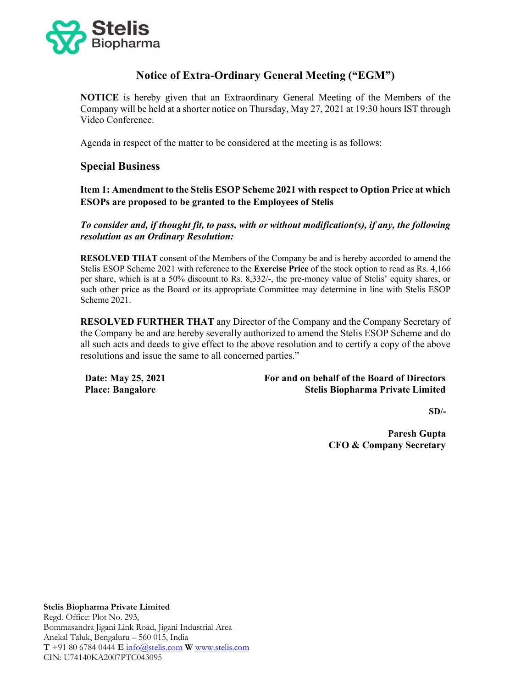

# Notice of Extra-Ordinary General Meeting ("EGM")

NOTICE is hereby given that an Extraordinary General Meeting of the Members of the Company will be held at a shorter notice on Thursday, May 27, 2021 at 19:30 hours IST through Video Conference.

Agenda in respect of the matter to be considered at the meeting is as follows:

# Special Business

Item 1: Amendment to the Stelis ESOP Scheme 2021 with respect to Option Price at which ESOPs are proposed to be granted to the Employees of Stelis

To consider and, if thought fit, to pass, with or without modification(s), if any, the following resolution as an Ordinary Resolution:

RESOLVED THAT consent of the Members of the Company be and is hereby accorded to amend the Stelis ESOP Scheme 2021 with reference to the Exercise Price of the stock option to read as Rs. 4,166 per share, which is at a 50% discount to Rs. 8,332/-, the pre-money value of Stelis' equity shares, or such other price as the Board or its appropriate Committee may determine in line with Stelis ESOP Scheme 2021.

RESOLVED FURTHER THAT any Director of the Company and the Company Secretary of the Company be and are hereby severally authorized to amend the Stelis ESOP Scheme and do all such acts and deeds to give effect to the above resolution and to certify a copy of the above resolutions and issue the same to all concerned parties."

Date: May 25, 2021 Place: Bangalore

### For and on behalf of the Board of Directors Stelis Biopharma Private Limited

 $SD/-$ 

 Paresh Gupta CFO & Company Secretary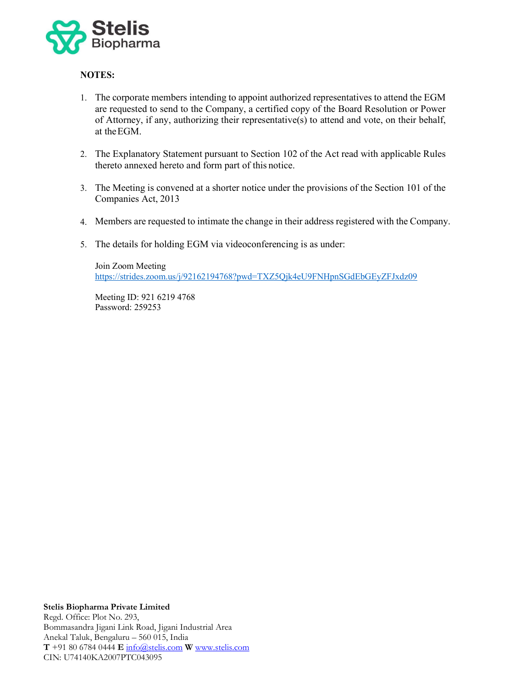

## NOTES:

- 1. The corporate members intending to appoint authorized representatives to attend the EGM are requested to send to the Company, a certified copy of the Board Resolution or Power of Attorney, if any, authorizing their representative(s) to attend and vote, on their behalf, at the EGM.
- 2. The Explanatory Statement pursuant to Section 102 of the Act read with applicable Rules thereto annexed hereto and form part of this notice.
- 3. The Meeting is convened at a shorter notice under the provisions of the Section 101 of the Companies Act, 2013
- 4. Members are requested to intimate the change in their address registered with the Company.
- 5. The details for holding EGM via videoconferencing is as under:

Join Zoom Meeting https://strides.zoom.us/j/92162194768?pwd=TXZ5Qjk4eU9FNHpnSGdEbGEyZFJxdz09

Meeting ID: 921 6219 4768 Password: 259253